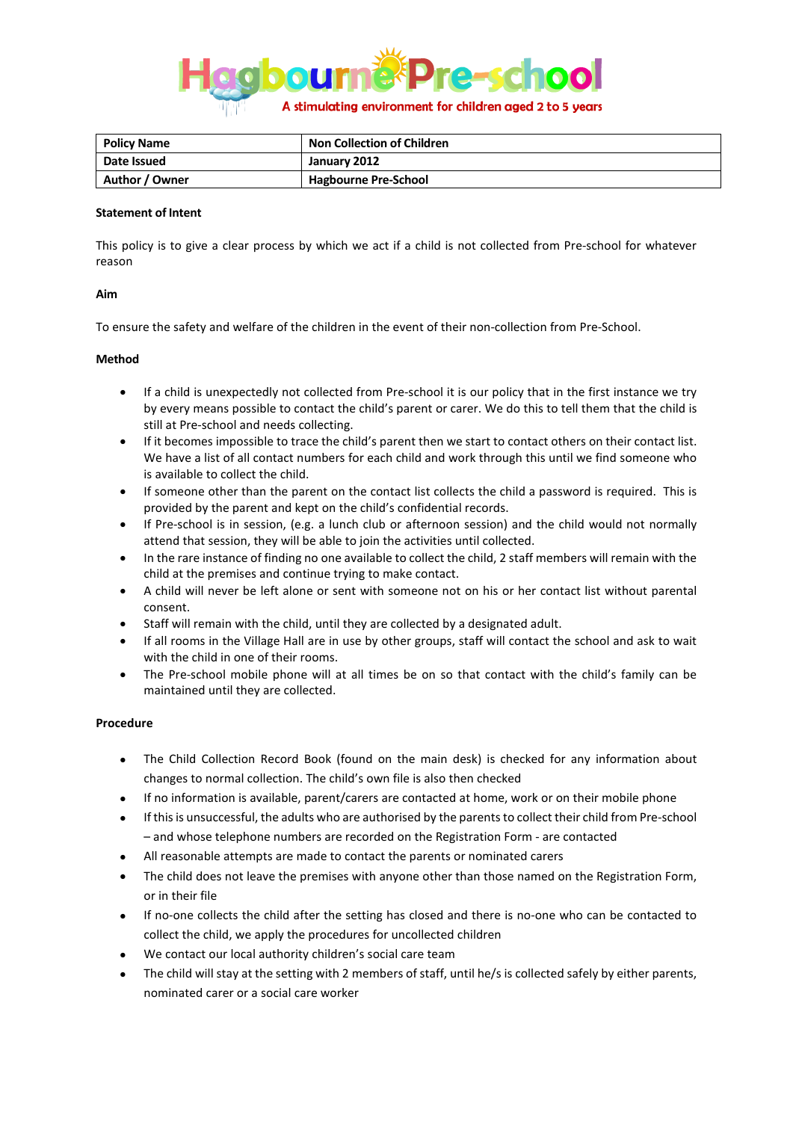

| <b>Policy Name</b> | <b>Non Collection of Children</b> |
|--------------------|-----------------------------------|
| Date Issued        | January 2012                      |
| Author / Owner     | <b>Hagbourne Pre-School</b>       |

## **Statement of Intent**

This policy is to give a clear process by which we act if a child is not collected from Pre-school for whatever reason

## **Aim**

To ensure the safety and welfare of the children in the event of their non-collection from Pre-School.

## **Method**

- If a child is unexpectedly not collected from Pre-school it is our policy that in the first instance we try by every means possible to contact the child's parent or carer. We do this to tell them that the child is still at Pre-school and needs collecting.
- If it becomes impossible to trace the child's parent then we start to contact others on their contact list. We have a list of all contact numbers for each child and work through this until we find someone who is available to collect the child.
- If someone other than the parent on the contact list collects the child a password is required. This is provided by the parent and kept on the child's confidential records.
- If Pre-school is in session, (e.g. a lunch club or afternoon session) and the child would not normally attend that session, they will be able to join the activities until collected.
- In the rare instance of finding no one available to collect the child, 2 staff members will remain with the child at the premises and continue trying to make contact.
- A child will never be left alone or sent with someone not on his or her contact list without parental consent.
- Staff will remain with the child, until they are collected by a designated adult.
- If all rooms in the Village Hall are in use by other groups, staff will contact the school and ask to wait with the child in one of their rooms.
- The Pre-school mobile phone will at all times be on so that contact with the child's family can be maintained until they are collected.

## **Procedure**

- The Child Collection Record Book (found on the main desk) is checked for any information about changes to normal collection. The child's own file is also then checked
- If no information is available, parent/carers are contacted at home, work or on their mobile phone
- If this is unsuccessful, the adults who are authorised by the parents to collect their child from Pre-school – and whose telephone numbers are recorded on the Registration Form - are contacted
- All reasonable attempts are made to contact the parents or nominated carers
- The child does not leave the premises with anyone other than those named on the Registration Form, or in their file
- If no-one collects the child after the setting has closed and there is no-one who can be contacted to collect the child, we apply the procedures for uncollected children
- We contact our local authority children's social care team
- The child will stay at the setting with 2 members of staff, until he/s is collected safely by either parents, nominated carer or a social care worker